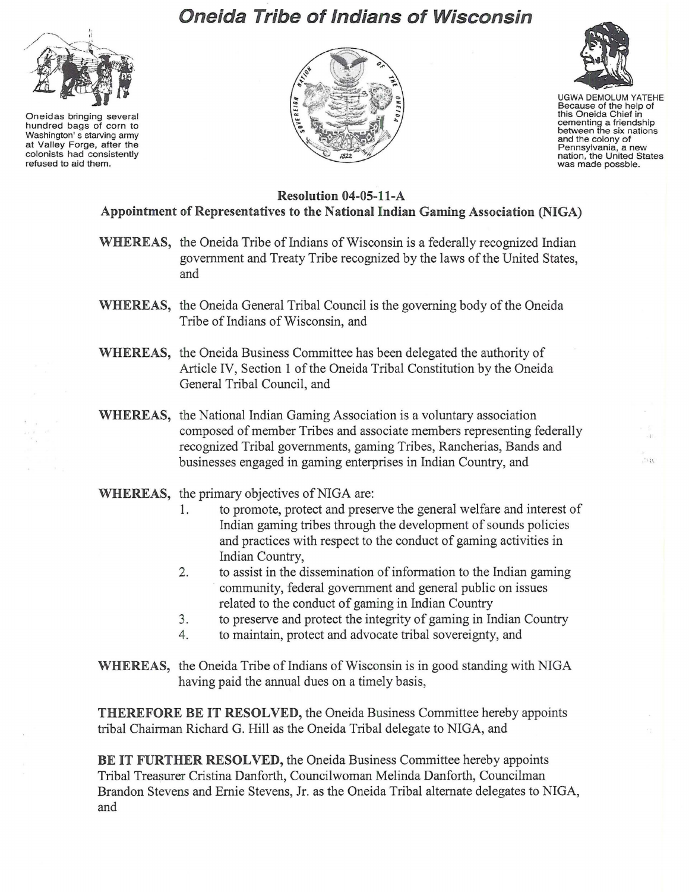## **Oneida Tribe of Indians of Wisconsin**



Oneidas bringing several hundred bags of corn to Washington's starving army at Valley Forge, after the colonists had consistently refused to aid them.





UGWA DEMOLUM YATEHE Because of the help of this Oneida Chief in cementing a friendship between the six nations and the colony of Pennsylvania, a new nation, the United States was made possble.

 $\sim$ 

## **Resolution 04-0S-11-A Appointment** of Representatives **to the National Indian Gaming Association (NIGA)**

- **WHEREAS,** the Oneida Tribe of Indians of Wisconsin is a federally recognized Indian government and Treaty Tribe recognized by the laws of the United States, and
- **WHEREAS,** the Oneida General Tribal Council is the governing body of the Oneida Tribe of Indians of Wisconsin, and
- **WHEREAS,** the Oneida Business Committee has been delegated the authority of Article IV, Section 1 of the Oneida Tribal Constitution by the Oneida General Tribal Council, and
- **WHEREAS,** the National Indian Gaming Association is a voluntary association composed of member Tribes and associate members representing federally recognized Tribal governments, gaming Tribes, Rancherias, Bands and businesses engaged in gaming enterprises in Indian Country, and
- **WHEREAS,** the primary objectives of NIGA are:
	- 1. to promote, protect and preserve the general welfare and interest of Indian gaming tribes through the development of sounds policies and practices with respect to the conduct of gaming activities in Indian Country,
	- 2. to assist in the dissemination of information to the Indian gaming . community, federal government and general public on issues related to the conduct of gaming in Indian Country
	- 3. to preserve and protect the integrity of gaming in Indian Country
	- 4. to maintain, protect and advocate tribal sovereignty, and
- **WHEREAS,** the Oneida Tribe of Indians of Wisconsin is in good standing with NIGA having paid the annual dues on a timely basis,

**THEREFORE BE IT RESOLVED,** the Oneida Business Committee hereby appoints tribal Chairman Richard G. Hill as the Oneida Tribal delegate to NIGA, and

**BE IT FURTHER RESOLVED,** the Oneida Business Committee hereby appoints Tribal Treasurer Cristina Danforth, Councilwoman Melinda Danforth, Councilman Brandon Stevens and Ernie Stevens, Jr. as the Oneida Tribal alternate delegates to NIGA, and